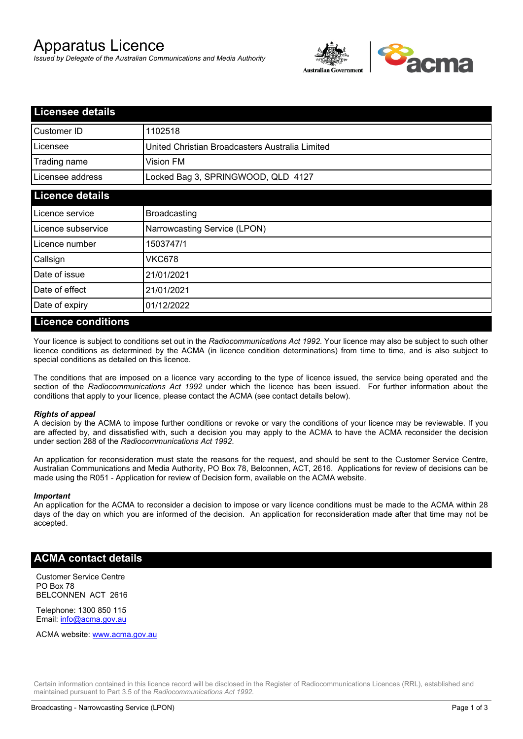# Apparatus Licence

*Issued by Delegate of the Australian Communications and Media Authority*



| <b>Licensee details</b>       |                                                 |  |  |
|-------------------------------|-------------------------------------------------|--|--|
| Customer ID                   | 1102518                                         |  |  |
| Licensee                      | United Christian Broadcasters Australia Limited |  |  |
| Trading name                  | Vision FM                                       |  |  |
| Licensee address              | Locked Bag 3, SPRINGWOOD, QLD 4127              |  |  |
| <b>Licence details</b>        |                                                 |  |  |
| Licence service               | <b>Broadcasting</b>                             |  |  |
| Licence subservice            | Narrowcasting Service (LPON)                    |  |  |
| Licence number                | 1503747/1                                       |  |  |
| Callsign                      | <b>VKC678</b>                                   |  |  |
| Date of issue                 | 21/01/2021                                      |  |  |
| Date of effect                | 21/01/2021                                      |  |  |
| Date of expiry                | 01/12/2022                                      |  |  |
| <b>State State</b><br>8 B A B |                                                 |  |  |

#### **Licence conditions**

Your licence is subject to conditions set out in the *Radiocommunications Act 1992*. Your licence may also be subject to such other licence conditions as determined by the ACMA (in licence condition determinations) from time to time, and is also subject to special conditions as detailed on this licence.

The conditions that are imposed on a licence vary according to the type of licence issued, the service being operated and the section of the *Radiocommunications Act 1992* under which the licence has been issued. For further information about the conditions that apply to your licence, please contact the ACMA (see contact details below).

#### *Rights of appeal*

A decision by the ACMA to impose further conditions or revoke or vary the conditions of your licence may be reviewable. If you are affected by, and dissatisfied with, such a decision you may apply to the ACMA to have the ACMA reconsider the decision under section 288 of the *Radiocommunications Act 1992*.

An application for reconsideration must state the reasons for the request, and should be sent to the Customer Service Centre, Australian Communications and Media Authority, PO Box 78, Belconnen, ACT, 2616. Applications for review of decisions can be made using the R051 - Application for review of Decision form, available on the ACMA website.

#### *Important*

An application for the ACMA to reconsider a decision to impose or vary licence conditions must be made to the ACMA within 28 days of the day on which you are informed of the decision. An application for reconsideration made after that time may not be accepted.

## **ACMA contact details**

Customer Service Centre PO Box 78 BELCONNEN ACT 2616

Telephone: 1300 850 115 Email: info@acma.gov.au

ACMA website: www.acma.gov.au

Certain information contained in this licence record will be disclosed in the Register of Radiocommunications Licences (RRL), established and maintained pursuant to Part 3.5 of the *Radiocommunications Act 1992.*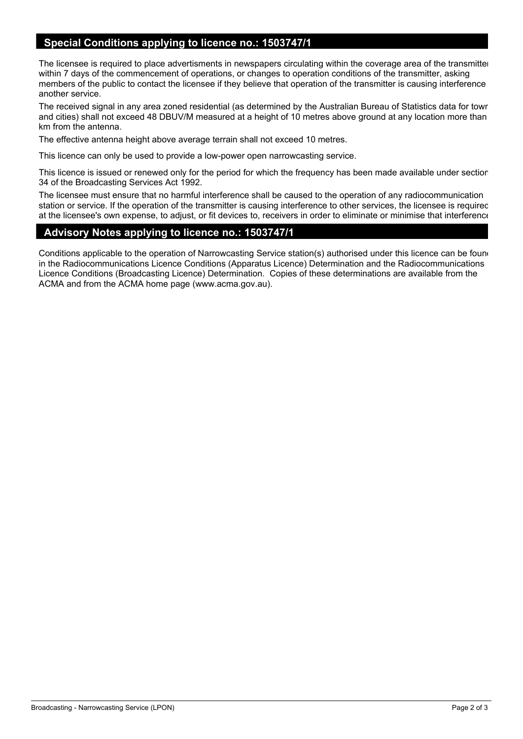## **Special Conditions applying to licence no.: 1503747/1**

The licensee is required to place advertisments in newspapers circulating within the coverage area of the transmitter within 7 days of the commencement of operations, or changes to operation conditions of the transmitter, asking members of the public to contact the licensee if they believe that operation of the transmitter is causing interference another service.

The received signal in any area zoned residential (as determined by the Australian Bureau of Statistics data for towns and cities) shall not exceed 48 DBUV/M measured at a height of 10 metres above ground at any location more than 2 km from the antenna.

The effective antenna height above average terrain shall not exceed 10 metres.

This licence can only be used to provide a low-power open narrowcasting service.

This licence is issued or renewed only for the period for which the frequency has been made available under section 34 of the Broadcasting Services Act 1992.

The licensee must ensure that no harmful interference shall be caused to the operation of any radiocommunication station or service. If the operation of the transmitter is causing interference to other services, the licensee is required, at the licensee's own expense, to adjust, or fit devices to, receivers in order to eliminate or minimise that interference

## **Advisory Notes applying to licence no.: 1503747/1**

Conditions applicable to the operation of Narrowcasting Service station(s) authorised under this licence can be found in the Radiocommunications Licence Conditions (Apparatus Licence) Determination and the Radiocommunications Licence Conditions (Broadcasting Licence) Determination. Copies of these determinations are available from the ACMA and from the ACMA home page (www.acma.gov.au).